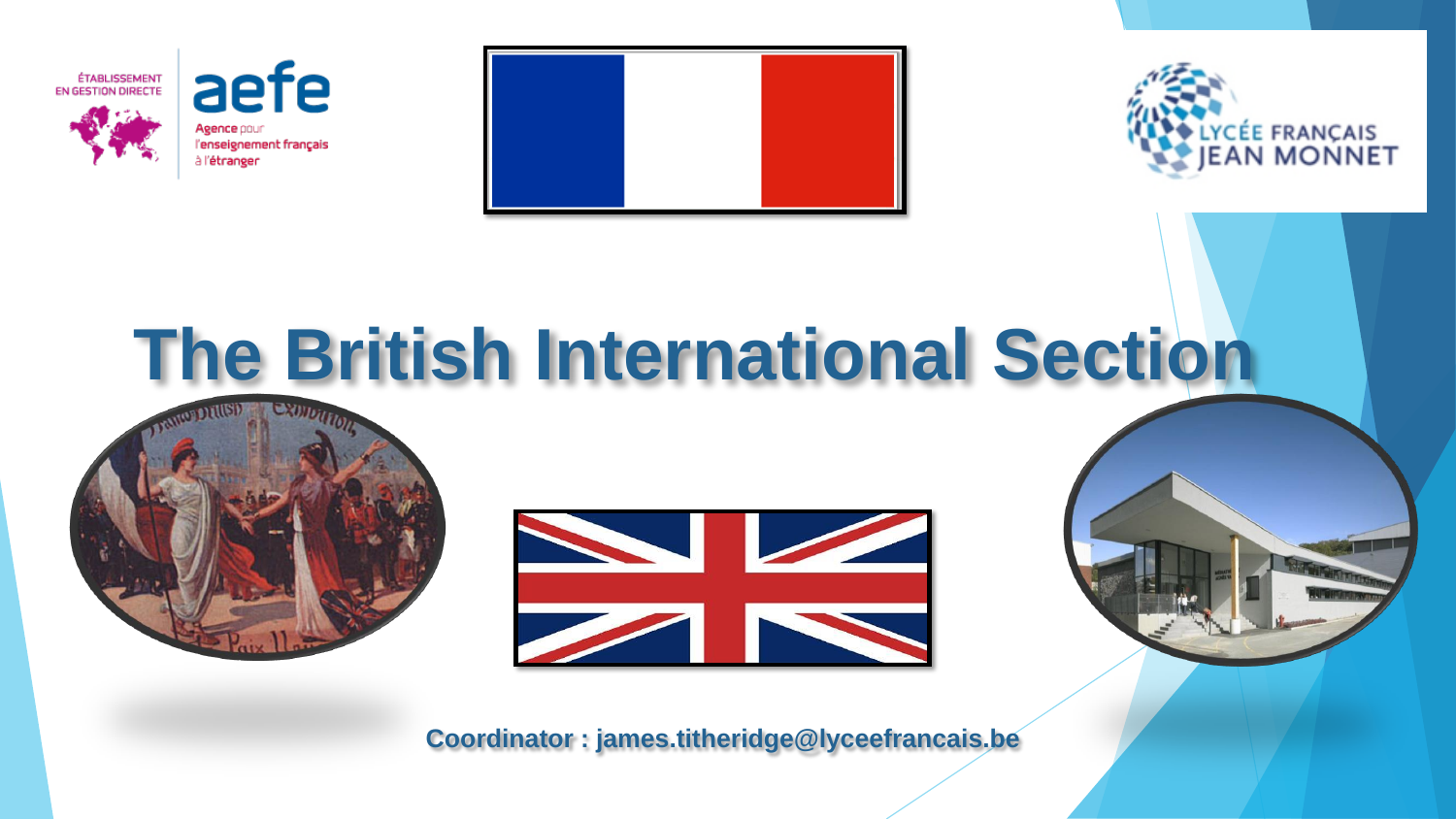

aefe Agence pour l'enseignement français à l'étranger





# **The British International Section**





**Coordinator : james.titheridge@lyceefrancais.be**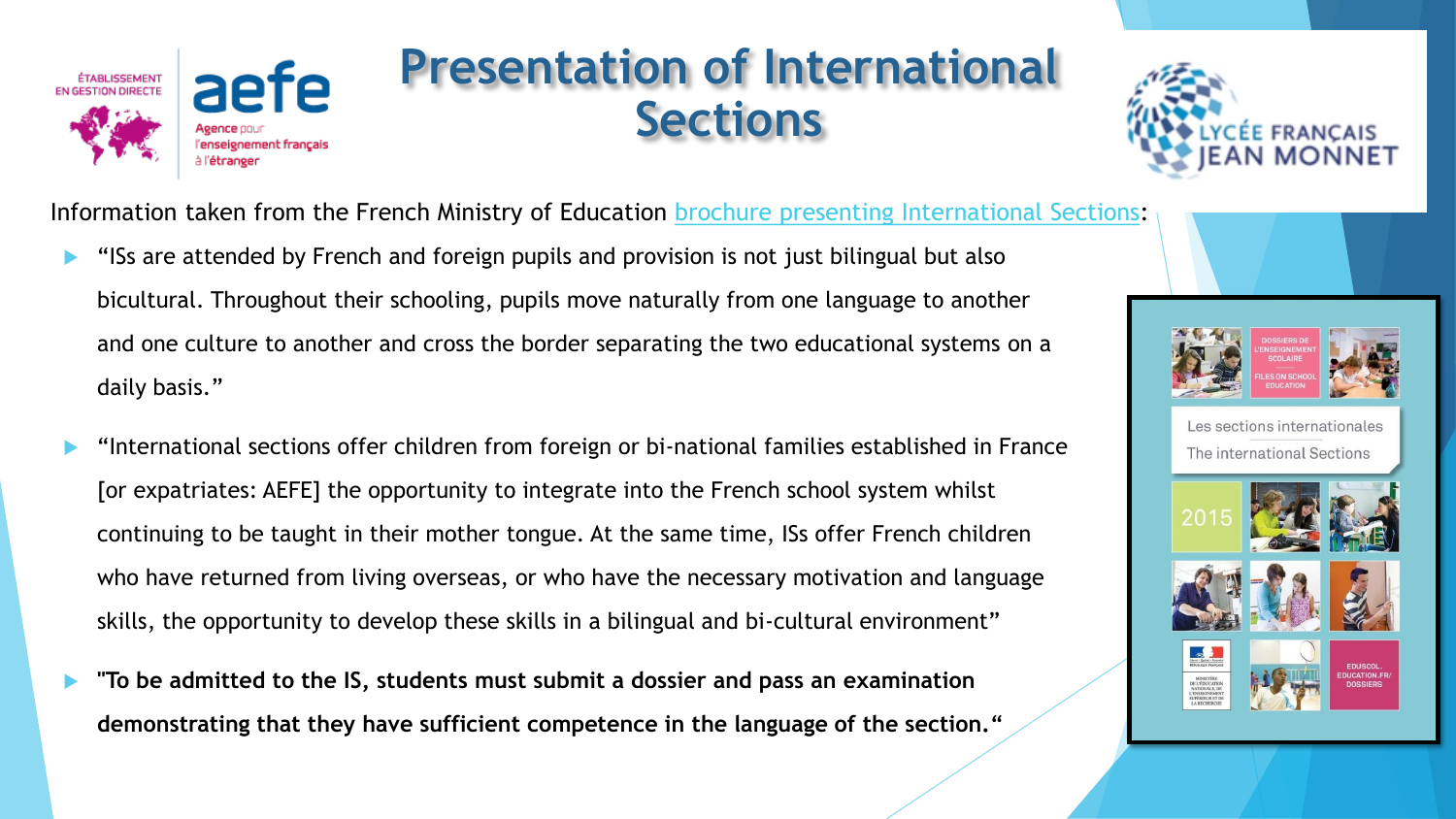

#### **Presentation of International Sections**



Information taken from the French Ministry of Education brochure presenting [International Sections:](http://cache.media.eduscol.education.fr/file/Europe_et_international/82/4/2015_juillet_brochure_ensco_HDEF_504824.pdf)

- "ISs are attended by French and foreign pupils and provision is not just bilingual but also bicultural. Throughout their schooling, pupils move naturally from one language to another and one culture to another and cross the border separating the two educational systems on a daily basis."
- "International sections offer children from foreign or bi-national families established in France [or expatriates: AEFE] the opportunity to integrate into the French school system whilst continuing to be taught in their mother tongue. At the same time, ISs offer French children who have returned from living overseas, or who have the necessary motivation and language skills, the opportunity to develop these skills in a bilingual and bi-cultural environment"
- **"To be admitted to the IS, students must submit a dossier and pass an examination demonstrating that they have sufficient competence in the language of the section."**





OSSIER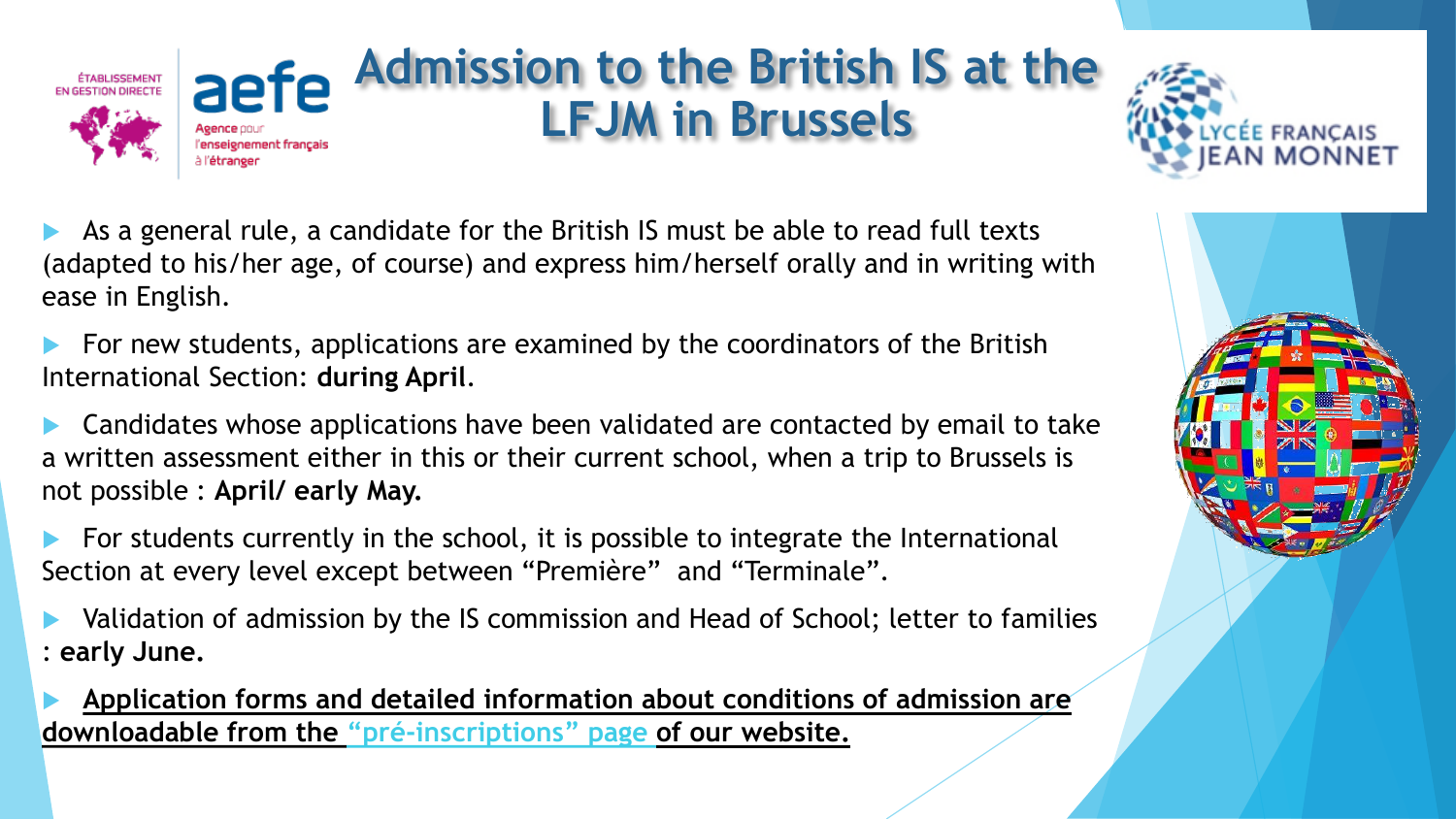

# **Admission to the British IS at the LFJM in Brussels**



 As a general rule, a candidate for the British IS must be able to read full texts (adapted to his/her age, of course) and express him/herself orally and in writing with ease in English.

 For new students, applications are examined by the coordinators of the British International Section: **during April**.

 Candidates whose applications have been validated are contacted by email to take a written assessment either in this or their current school, when a trip to Brussels is not possible : **April/ early May.**

 For students currently in the school, it is possible to integrate the International Section at every level except between "Première" and "Terminale".

 Validation of admission by the IS commission and Head of School; letter to families : **early June.**

 **Application forms and detailed information about conditions of admission are downloadable from the "[pré-inscriptions](http://preinscription.lycee-francais.net/v3/index.php?p=accueil&site=lfb-jeanmonnet&lng=FR)" page of our website.**

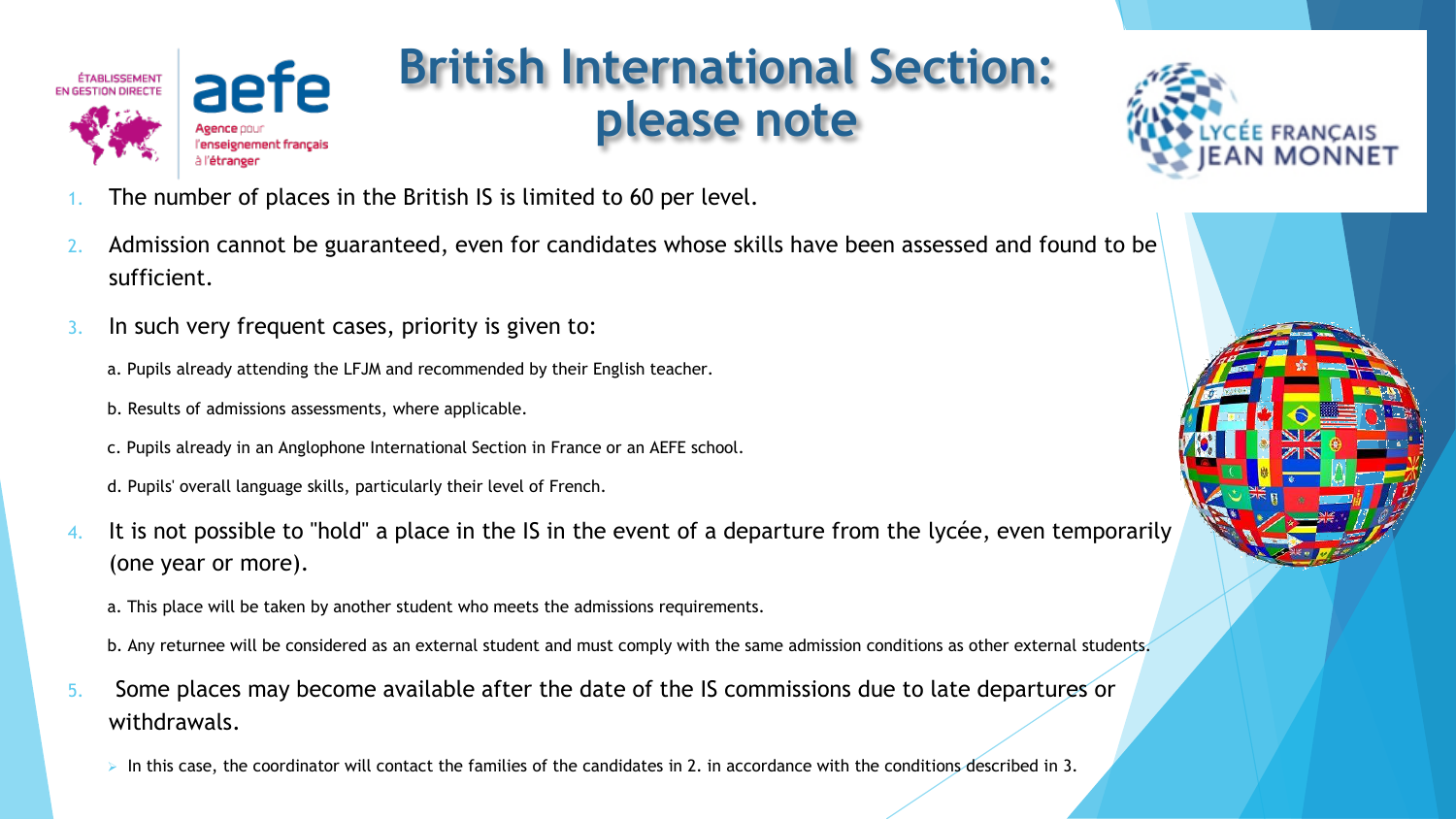

## **British International Section: please note**



- The number of places in the British IS is limited to 60 per level.
- 2. Admission cannot be guaranteed, even for candidates whose skills have been assessed and found to be sufficient.
- 3. In such very frequent cases, priority is given to:
	- a. Pupils already attending the LFJM and recommended by their English teacher.
	- b. Results of admissions assessments, where applicable.
	- c. Pupils already in an Anglophone International Section in France or an AEFE school.
	- d. Pupils' overall language skills, particularly their level of French.
- 4. It is not possible to "hold" a place in the IS in the event of a departure from the lycée, even temporarily (one year or more).
	- a. This place will be taken by another student who meets the admissions requirements.
	- b. Any returnee will be considered as an external student and must comply with the same admission conditions as other external students.
- 5. Some places may become available after the date of the IS commissions due to late departures or withdrawals.
	- ➢ In this case, the coordinator will contact the families of the candidates in 2. in accordance with the conditions described in 3.

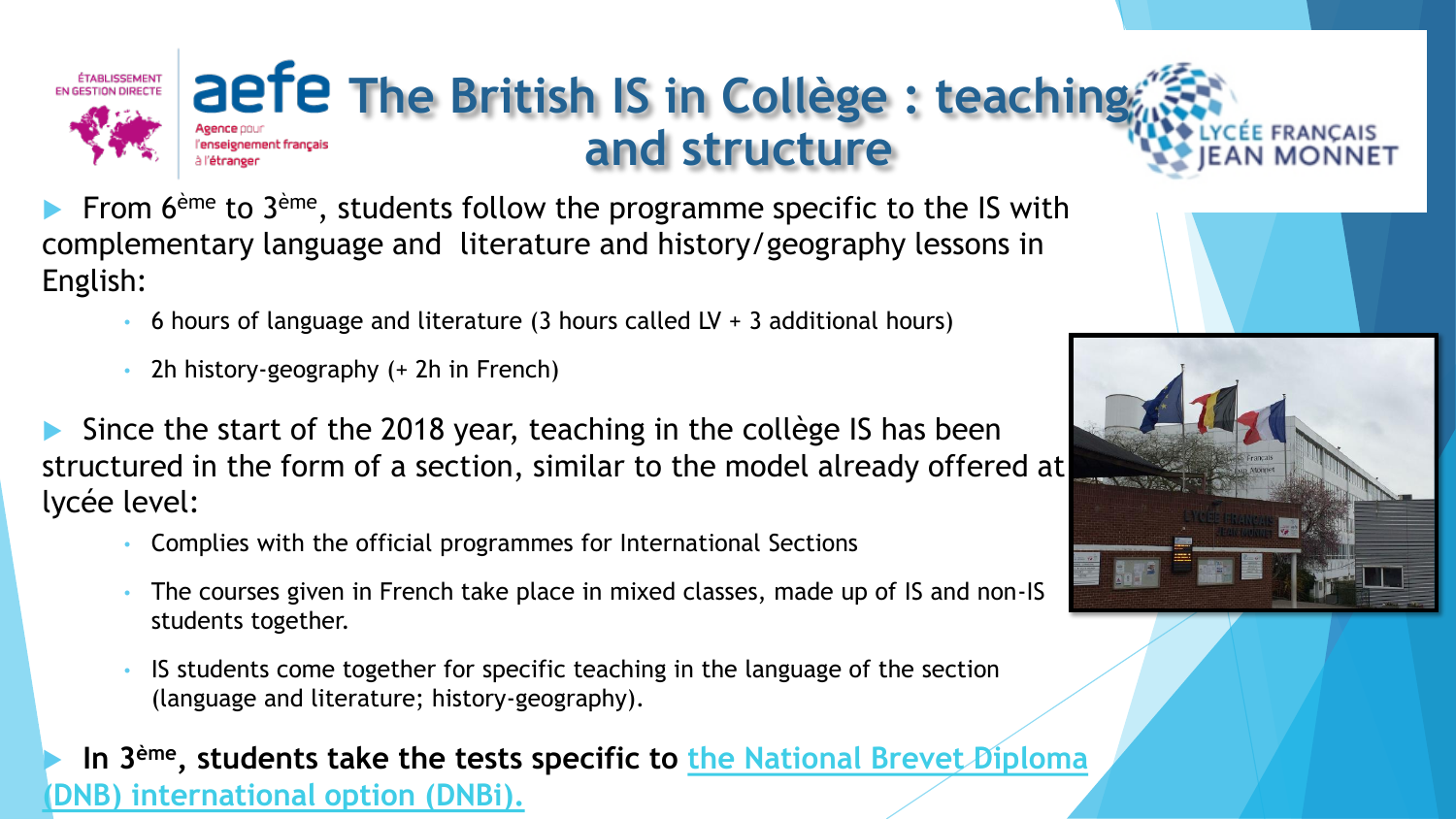

#### **The British IS in Collège : teaching and structure** enseignement français

From 6<sup>ème</sup> to 3<sup>ème</sup>, students follow the programme specific to the IS with complementary language and literature and history/geography lessons in English:

- 6 hours of language and literature (3 hours called LV + 3 additional hours)
- 2h history-geography (+ 2h in French)

 Since the start of the 2018 year, teaching in the collège IS has been structured in the form of a section, similar to the model already offered at lycée level:

- Complies with the official programmes for International Sections
- The courses given in French take place in mixed classes, made up of IS and non-IS students together.
- IS students come together for specific teaching in the language of the section (language and literature; history-geography).

**In 3<sup>ème</sup>, students take the tests specific to the National Brevet Diploma (DNB) international option (DNBi).**

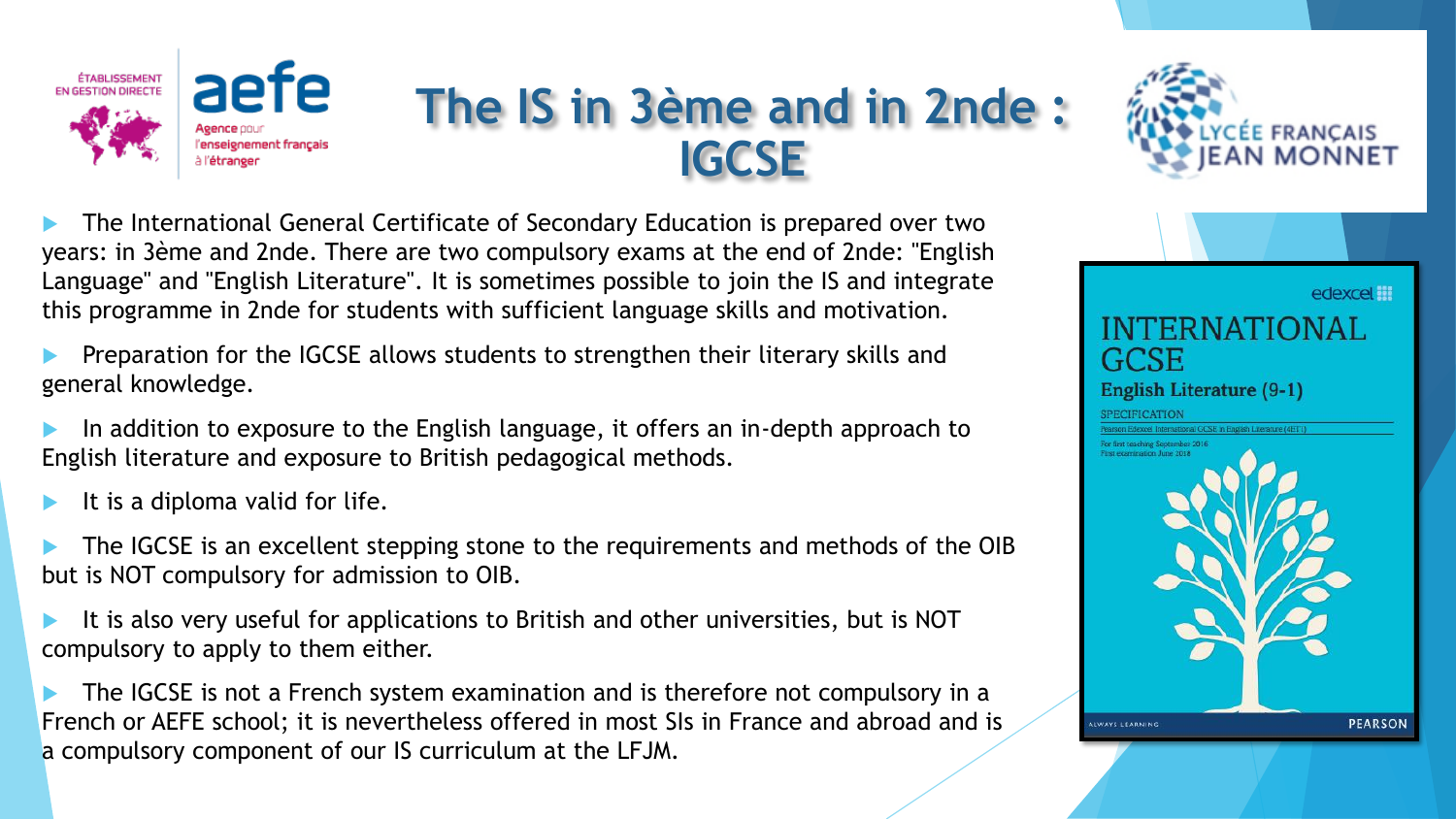

## **The IS in 3ème and in 2nde : IGCSE**



 The International General Certificate of Secondary Education is prepared over two years: in 3ème and 2nde. There are two compulsory exams at the end of 2nde: "English Language" and "English Literature". It is sometimes possible to join the IS and integrate this programme in 2nde for students with sufficient language skills and motivation.

 Preparation for the IGCSE allows students to strengthen their literary skills and general knowledge.

 In addition to exposure to the English language, it offers an in-depth approach to English literature and exposure to British pedagogical methods.

It is a diploma valid for life.

 The IGCSE is an excellent stepping stone to the requirements and methods of the OIB but is NOT compulsory for admission to OIB.

 It is also very useful for applications to British and other universities, but is NOT compulsory to apply to them either.

 The IGCSE is not a French system examination and is therefore not compulsory in a French or AEFE school; it is nevertheless offered in most SIs in France and abroad and is a compulsory component of our IS curriculum at the LFJM.

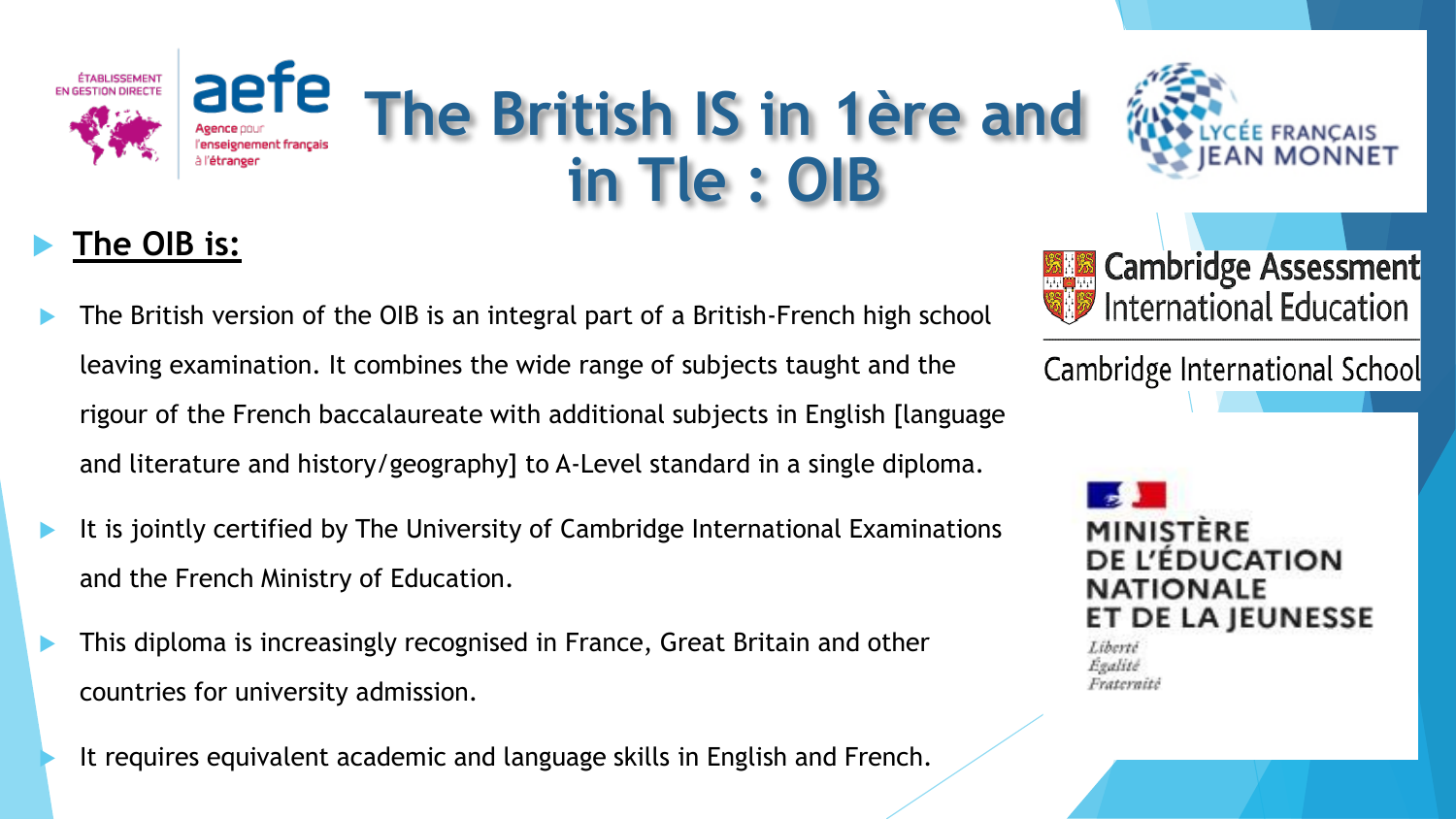





- The British version of the OIB is an integral part of a British-French high school leaving examination. It combines the wide range of subjects taught and the rigour of the French baccalaureate with additional subjects in English [language and literature and history/geography] to A-Level standard in a single diploma.
- It is jointly certified by The University of Cambridge International Examinations and the French Ministry of Education.
- This diploma is increasingly recognised in France, Great Britain and other countries for university admission.
	- It requires equivalent academic and language skills in English and French.



Cambridge International School

**MINISTERE DE L'EDUCATION NATIONALE** ET DE LA JEUNESSE

Liberté Egalité Fraternite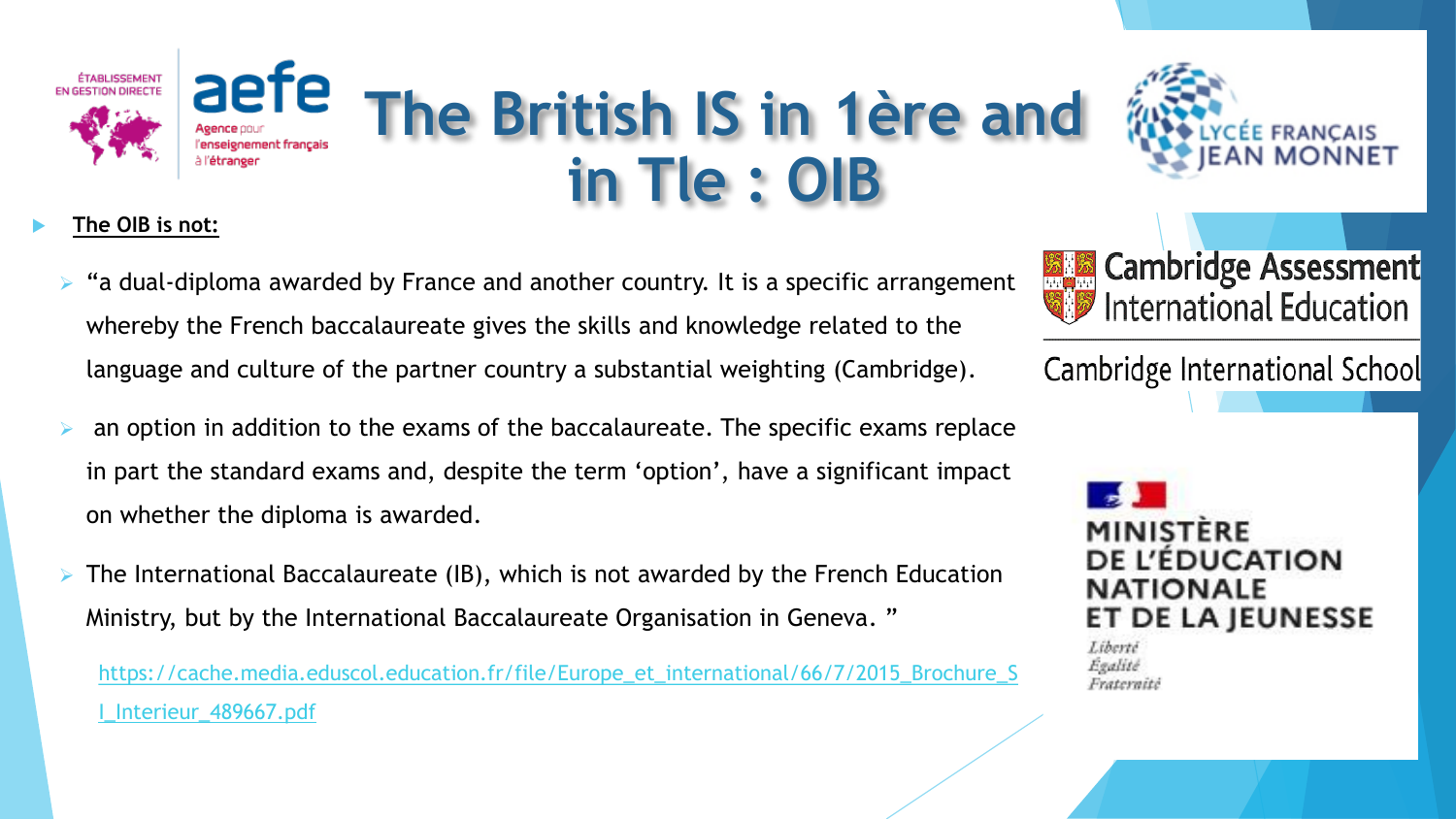



#### **The OIB is not:**

- "a dual-diploma awarded by France and another country. It is a specific arrangement whereby the French baccalaureate gives the skills and knowledge related to the language and culture of the partner country a substantial weighting (Cambridge).
- an option in addition to the exams of the baccalaureate. The specific exams replace in part the standard exams and, despite the term 'option', have a significant impact on whether the diploma is awarded.
- The International Baccalaureate (IB), which is not awarded by the French Education Ministry, but by the International Baccalaureate Organisation in Geneva. "

[https://cache.media.eduscol.education.fr/file/Europe\\_et\\_international/66/7/2015\\_Brochure\\_S](https://cache.media.eduscol.education.fr/file/Europe_et_international/66/7/2015_Brochure_SI_Interieur_489667.pdf) I\_Interieur\_489667.pdf



Cambridge International School

**MINISTERE DE L'ÉDUCATION NATIONALE** DE LA JEUNESSE ET.

Liberté Egalité Fraternitë